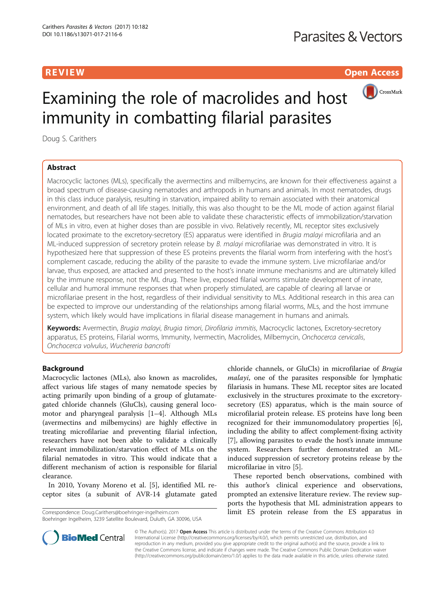**REVIEW CONSIDERING CONSIDERING CONSIDERING CONSIDERING CONSIDERING CONSIDERING CONSIDERING CONSIDERING CONSIDERING CONSIDERING CONSIDERING CONSIDERING CONSIDERING CONSIDERING CONSIDERING CONSIDERING CONSIDERING CONSIDER** 



# Examining the role of macrolides and host immunity in combatting filarial parasites

Doug S. Carithers

# Abstract

Macrocyclic lactones (MLs), specifically the avermectins and milbemycins, are known for their effectiveness against a broad spectrum of disease-causing nematodes and arthropods in humans and animals. In most nematodes, drugs in this class induce paralysis, resulting in starvation, impaired ability to remain associated with their anatomical environment, and death of all life stages. Initially, this was also thought to be the ML mode of action against filarial nematodes, but researchers have not been able to validate these characteristic effects of immobilization/starvation of MLs in vitro, even at higher doses than are possible in vivo. Relatively recently, ML receptor sites exclusively located proximate to the excretory-secretory (ES) apparatus were identified in *Brugia malayi* microfilaria and an ML-induced suppression of secretory protein release by B. malayi microfilariae was demonstrated in vitro. It is hypothesized here that suppression of these ES proteins prevents the filarial worm from interfering with the host's complement cascade, reducing the ability of the parasite to evade the immune system. Live microfilariae and/or larvae, thus exposed, are attacked and presented to the host's innate immune mechanisms and are ultimately killed by the immune response, not the ML drug. These live, exposed filarial worms stimulate development of innate, cellular and humoral immune responses that when properly stimulated, are capable of clearing all larvae or microfilariae present in the host, regardless of their individual sensitivity to MLs. Additional research in this area can be expected to improve our understanding of the relationships among filarial worms, MLs, and the host immune system, which likely would have implications in filarial disease management in humans and animals.

Keywords: Avermectin, Brugia malayi, Brugia timori, Dirofilaria immitis, Macrocyclic lactones, Excretory-secretory apparatus, ES proteins, Filarial worms, Immunity, Ivermectin, Macrolides, Milbemycin, Onchocerca cervicalis, Onchocerca volvulus, Wuchereria bancrofti

# Background

Macrocyclic lactones (MLs), also known as macrolides, affect various life stages of many nematode species by acting primarily upon binding of a group of glutamategated chloride channels (GluCls), causing general locomotor and pharyngeal paralysis [\[1](#page-10-0)–[4](#page-10-0)]. Although MLs (avermectins and milbemycins) are highly effective in treating microfilariae and preventing filarial infection, researchers have not been able to validate a clinically relevant immobilization/starvation effect of MLs on the filarial nematodes in vitro. This would indicate that a different mechanism of action is responsible for filarial clearance.

In 2010, Yovany Moreno et al. [[5\]](#page-10-0), identified ML receptor sites (a subunit of AVR-14 glutamate gated

Boehringer Ingelheim, 3239 Satellite Boulevard, Duluth, GA 30096, USA

chloride channels, or GluCls) in microfilariae of Brugia malayi, one of the parasites responsible for lymphatic filariasis in humans. These ML receptor sites are located exclusively in the structures proximate to the excretorysecretory (ES) apparatus, which is the main source of microfilarial protein release. ES proteins have long been recognized for their immunomodulatory properties [\[6](#page-10-0)], including the ability to affect complement-fixing activity [[7\]](#page-10-0), allowing parasites to evade the host's innate immune system. Researchers further demonstrated an MLinduced suppression of secretory proteins release by the microfilariae in vitro [\[5\]](#page-10-0).

These reported bench observations, combined with this author's clinical experience and observations, prompted an extensive literature review. The review supports the hypothesis that ML administration appears to Correspondence: [Doug.Carithers@boehringer-ingelheim.com](mailto:Doug.Carithers@boehringer-ingelheim.com) **limit ES protein release from the ES apparatus in** 



© The Author(s). 2017 **Open Access** This article is distributed under the terms of the Creative Commons Attribution 4.0 International License [\(http://creativecommons.org/licenses/by/4.0/](http://creativecommons.org/licenses/by/4.0/)), which permits unrestricted use, distribution, and reproduction in any medium, provided you give appropriate credit to the original author(s) and the source, provide a link to the Creative Commons license, and indicate if changes were made. The Creative Commons Public Domain Dedication waiver [\(http://creativecommons.org/publicdomain/zero/1.0/](http://creativecommons.org/publicdomain/zero/1.0/)) applies to the data made available in this article, unless otherwise stated.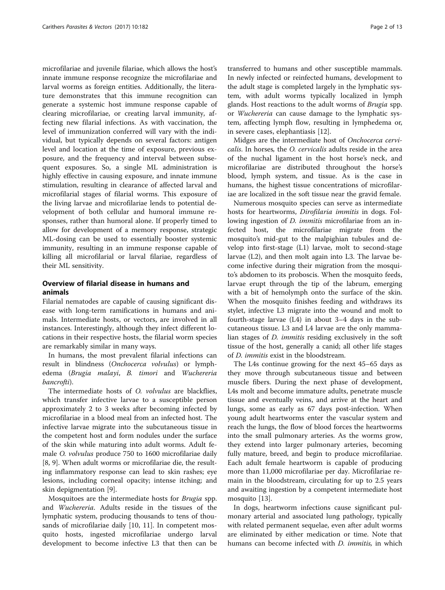microfilariae and juvenile filariae, which allows the host's innate immune response recognize the microfilariae and larval worms as foreign entities. Additionally, the literature demonstrates that this immune recognition can generate a systemic host immune response capable of clearing microfilariae, or creating larval immunity, affecting new filarial infections. As with vaccination, the level of immunization conferred will vary with the individual, but typically depends on several factors: antigen level and location at the time of exposure, previous exposure, and the frequency and interval between subsequent exposures. So, a single ML administration is highly effective in causing exposure, and innate immune stimulation, resulting in clearance of affected larval and microfilarial stages of filarial worms. This exposure of the living larvae and microfilariae lends to potential development of both cellular and humoral immune responses, rather than humoral alone. If properly timed to allow for development of a memory response, strategic ML-dosing can be used to essentially booster systemic immunity, resulting in an immune response capable of killing all microfilarial or larval filariae, regardless of their ML sensitivity.

# Overview of filarial disease in humans and animals

Filarial nematodes are capable of causing significant disease with long-term ramifications in humans and animals. Intermediate hosts, or vectors, are involved in all instances. Interestingly, although they infect different locations in their respective hosts, the filarial worm species are remarkably similar in many ways.

In humans, the most prevalent filarial infections can result in blindness (Onchocerca volvulus) or lymphedema (Brugia malayi, B. timori and Wuchereria bancrofti).

The intermediate hosts of O. volvulus are blackflies, which transfer infective larvae to a susceptible person approximately 2 to 3 weeks after becoming infected by microfilariae in a blood meal from an infected host. The infective larvae migrate into the subcutaneous tissue in the competent host and form nodules under the surface of the skin while maturing into adult worms. Adult female O. volvulus produce 750 to 1600 microfilariae daily [[8, 9\]](#page-10-0). When adult worms or microfilariae die, the resulting inflammatory response can lead to skin rashes; eye lesions, including corneal opacity; intense itching; and skin depigmentation [\[9](#page-10-0)].

Mosquitoes are the intermediate hosts for Brugia spp. and Wuchereria. Adults reside in the tissues of the lymphatic system, producing thousands to tens of thousands of microfilariae daily [[10, 11](#page-10-0)]. In competent mosquito hosts, ingested microfilariae undergo larval development to become infective L3 that then can be transferred to humans and other susceptible mammals. In newly infected or reinfected humans, development to the adult stage is completed largely in the lymphatic system, with adult worms typically localized in lymph glands. Host reactions to the adult worms of Brugia spp. or Wuchereria can cause damage to the lymphatic system, affecting lymph flow, resulting in lymphedema or, in severe cases, elephantiasis [\[12](#page-10-0)].

Midges are the intermediate host of Onchocerca cervicalis. In horses, the O. cervicalis adults reside in the area of the nuchal ligament in the host horse's neck, and microfilariae are distributed throughout the horse's blood, lymph system, and tissue. As is the case in humans, the highest tissue concentrations of microfilariae are localized in the soft tissue near the gravid female.

Numerous mosquito species can serve as intermediate hosts for heartworms, Dirofilaria immitis in dogs. Following ingestion of *D. immitis* microfilariae from an infected host, the microfilariae migrate from the mosquito's mid-gut to the malpighian tubules and develop into first-stage (L1) larvae, molt to second-stage larvae (L2), and then molt again into L3. The larvae become infective during their migration from the mosquito's abdomen to its proboscis. When the mosquito feeds, larvae erupt through the tip of the labrum, emerging with a bit of hemolymph onto the surface of the skin. When the mosquito finishes feeding and withdraws its stylet, infective L3 migrate into the wound and molt to fourth-stage larvae (L4) in about 3–4 days in the subcutaneous tissue. L3 and L4 larvae are the only mammalian stages of D. immitis residing exclusively in the soft tissue of the host, generally a canid; all other life stages of D. immitis exist in the bloodstream.

The L4s continue growing for the next 45–65 days as they move through subcutaneous tissue and between muscle fibers. During the next phase of development, L4s molt and become immature adults, penetrate muscle tissue and eventually veins, and arrive at the heart and lungs, some as early as 67 days post-infection. When young adult heartworms enter the vascular system and reach the lungs, the flow of blood forces the heartworms into the small pulmonary arteries. As the worms grow, they extend into larger pulmonary arteries, becoming fully mature, breed, and begin to produce microfilariae. Each adult female heartworm is capable of producing more than 11,000 microfilariae per day. Microfilariae remain in the bloodstream, circulating for up to 2.5 years and awaiting ingestion by a competent intermediate host mosquito [\[13](#page-10-0)].

In dogs, heartworm infections cause significant pulmonary arterial and associated lung pathology, typically with related permanent sequelae, even after adult worms are eliminated by either medication or time. Note that humans can become infected with *D. immitis*, in which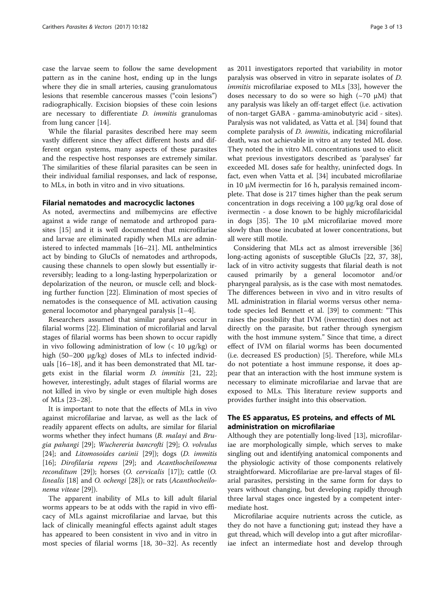case the larvae seem to follow the same development pattern as in the canine host, ending up in the lungs where they die in small arteries, causing granulomatous lesions that resemble cancerous masses ("coin lesions") radiographically. Excision biopsies of these coin lesions are necessary to differentiate D. immitis granulomas from lung cancer [\[14](#page-10-0)].

While the filarial parasites described here may seem vastly different since they affect different hosts and different organ systems, many aspects of these parasites and the respective host responses are extremely similar. The similarities of these filarial parasites can be seen in their individual familial responses, and lack of response, to MLs, in both in vitro and in vivo situations.

# Filarial nematodes and macrocyclic lactones

As noted, avermectins and milbemycins are effective against a wide range of nematode and arthropod parasites [\[15](#page-10-0)] and it is well documented that microfilariae and larvae are eliminated rapidly when MLs are administered to infected mammals [\[16](#page-10-0)–[21\]](#page-10-0). ML anthelmintics act by binding to GluCls of nematodes and arthropods, causing these channels to open slowly but essentially irreversibly; leading to a long-lasting hyperpolarization or depolarization of the neuron, or muscle cell; and blocking further function [[22\]](#page-10-0). Elimination of most species of nematodes is the consequence of ML activation causing general locomotor and pharyngeal paralysis [[1](#page-10-0)–[4\]](#page-10-0).

Researchers assumed that similar paralyses occur in filarial worms [[22\]](#page-10-0). Elimination of microfilarial and larval stages of filarial worms has been shown to occur rapidly in vivo following administration of low  $\left($  < 10 μg/kg) or high (50–200 μg/kg) doses of MLs to infected individuals [\[16](#page-10-0)–[18\]](#page-10-0), and it has been demonstrated that ML targets exist in the filarial worm D. immitis [[21, 22](#page-10-0)]; however, interestingly, adult stages of filarial worms are not killed in vivo by single or even multiple high doses of MLs [\[23](#page-10-0)–[28\]](#page-10-0).

It is important to note that the effects of MLs in vivo against microfilariae and larvae, as well as the lack of readily apparent effects on adults, are similar for filarial worms whether they infect humans (B. malayi and Brugia pahangi [[29](#page-10-0)]; Wuchereria bancrofti [[29](#page-10-0)]; O. volvulus [[24\]](#page-10-0); and Litomosoides carinii [[29\]](#page-10-0)); dogs (D. immitis [[16\]](#page-10-0); Dirofilaria repens [\[29](#page-10-0)]; and Acanthocheilonema *reconditum* [\[29\]](#page-10-0)); horses  $(O.$  *cervicalis* [[17\]](#page-10-0)); cattle  $(O.$ linealis [\[18\]](#page-10-0) and O. ochengi [\[28](#page-10-0)]); or rats (Acanthocheilonema viteae [\[29](#page-10-0)]).

The apparent inability of MLs to kill adult filarial worms appears to be at odds with the rapid in vivo efficacy of MLs against microfilariae and larvae, but this lack of clinically meaningful effects against adult stages has appeared to been consistent in vivo and in vitro in most species of filarial worms [\[18](#page-10-0), [30](#page-10-0)–[32](#page-10-0)]. As recently as 2011 investigators reported that variability in motor paralysis was observed in vitro in separate isolates of D. immitis microfilariae exposed to MLs [[33](#page-10-0)], however the doses necessary to do so were so high  $(\sim 70 \mu M)$  that any paralysis was likely an off-target effect (i.e. activation of non-target GABA - gamma-aminobutyric acid - sites). Paralysis was not validated, as Vatta et al. [[34\]](#page-10-0) found that complete paralysis of D. immitis, indicating microfilarial death, was not achievable in vitro at any tested ML dose. They noted the in vitro ML concentrations used to elicit what previous investigators described as 'paralyses' far exceeded ML doses safe for healthy, uninfected dogs. In fact, even when Vatta et al. [[34](#page-10-0)] incubated microfilariae in 10 μM ivermectin for 16 h, paralysis remained incomplete. That dose is 217 times higher than the peak serum concentration in dogs receiving a 100 μg/kg oral dose of ivermectin - a dose known to be highly microfilaricidal in dogs [[35\]](#page-10-0). The 10 μM microfilariae moved more slowly than those incubated at lower concentrations, but all were still motile.

Considering that MLs act as almost irreversible [[36](#page-10-0)] long-acting agonists of susceptible GluCls [\[22](#page-10-0), [37, 38](#page-10-0)], lack of in vitro activity suggests that filarial death is not caused primarily by a general locomotor and/or pharyngeal paralysis, as is the case with most nematodes. The differences between in vivo and in vitro results of ML administration in filarial worms versus other nematode species led Bennett et al. [\[39](#page-10-0)] to comment: "This raises the possibility that IVM (ivermectin) does not act directly on the parasite, but rather through synergism with the host immune system." Since that time, a direct effect of IVM on filarial worms has been documented (i.e. decreased ES production) [\[5](#page-10-0)]. Therefore, while MLs do not potentiate a host immune response, it does appear that an interaction with the host immune system is necessary to eliminate microfilariae and larvae that are exposed to MLs. This literature review supports and provides further insight into this observation.

# The ES apparatus, ES proteins, and effects of ML administration on microfilariae

Although they are potentially long-lived [[13](#page-10-0)], microfilariae are morphologically simple, which serves to make singling out and identifying anatomical components and the physiologic activity of those components relatively straightforward. Microfilariae are pre-larval stages of filarial parasites, persisting in the same form for days to years without changing, but developing rapidly through three larval stages once ingested by a competent intermediate host.

Microfilariae acquire nutrients across the cuticle, as they do not have a functioning gut; instead they have a gut thread, which will develop into a gut after microfilariae infect an intermediate host and develop through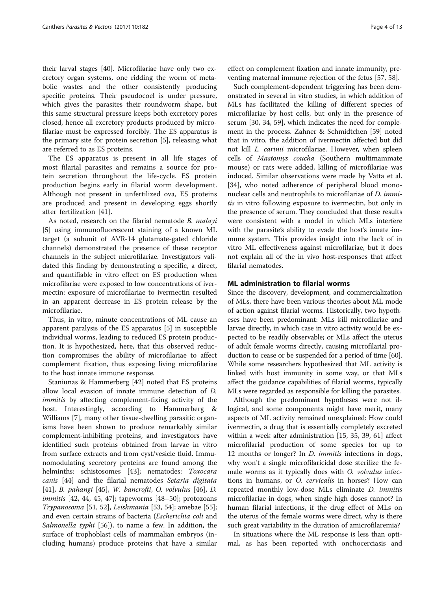their larval stages [\[40\]](#page-10-0). Microfilariae have only two excretory organ systems, one ridding the worm of metabolic wastes and the other consistently producing specific proteins. Their pseudocoel is under pressure, which gives the parasites their roundworm shape, but this same structural pressure keeps both excretory pores closed, hence all excretory products produced by microfilariae must be expressed forcibly. The ES apparatus is the primary site for protein secretion [[5\]](#page-10-0), releasing what are referred to as ES proteins.

The ES apparatus is present in all life stages of most filarial parasites and remains a source for protein secretion throughout the life-cycle. ES protein production begins early in filarial worm development. Although not present in unfertilized ova, ES proteins are produced and present in developing eggs shortly after fertilization [[41\]](#page-10-0).

As noted, research on the filarial nematode B. malayi [[5\]](#page-10-0) using immunofluorescent staining of a known ML target (a subunit of AVR-14 glutamate-gated chloride channels) demonstrated the presence of these receptor channels in the subject microfilariae. Investigators validated this finding by demonstrating a specific, a direct, and quantifiable in vitro effect on ES production when microfilariae were exposed to low concentrations of ivermectin: exposure of microfilariae to ivermectin resulted in an apparent decrease in ES protein release by the microfilariae.

Thus, in vitro, minute concentrations of ML cause an apparent paralysis of the ES apparatus [[5\]](#page-10-0) in susceptible individual worms, leading to reduced ES protein production. It is hypothesized, here, that this observed reduction compromises the ability of microfilariae to affect complement fixation, thus exposing living microfilariae to the host innate immune response.

Staniunas & Hammerberg [[42\]](#page-10-0) noted that ES proteins allow local evasion of innate immune detection of D. immitis by affecting complement-fixing activity of the host. Interestingly, according to Hammerberg & Williams [\[7](#page-10-0)], many other tissue-dwelling parasitic organisms have been shown to produce remarkably similar complement-inhibiting proteins, and investigators have identified such proteins obtained from larvae in vitro from surface extracts and from cyst/vesicle fluid. Immunomodulating secretory proteins are found among the helminths: schistosomes [[43](#page-10-0)]; nematodes: Toxocara canis [\[44\]](#page-10-0) and the filarial nematodes Setaria digitata [[41\]](#page-10-0), B. pahangi [\[45](#page-10-0)], W. bancrofti, O. volvulus [\[46\]](#page-10-0), D. immitis [\[42](#page-10-0), [44, 45](#page-10-0), [47\]](#page-10-0); tapeworms [[48](#page-10-0)–[50](#page-10-0)]; protozoans Trypanosoma [[51, 52\]](#page-11-0), Leishmania [\[53](#page-11-0), [54](#page-11-0)]; amebae [\[55](#page-11-0)]; and even certain strains of bacteria (Escherichia coli and Salmonella typhi [\[56](#page-11-0)]), to name a few. In addition, the surface of trophoblast cells of mammalian embryos (including humans) produce proteins that have a similar

effect on complement fixation and innate immunity, preventing maternal immune rejection of the fetus [[57, 58\]](#page-11-0).

Such complement-dependent triggering has been demonstrated in several in vitro studies, in which addition of MLs has facilitated the killing of different species of microfilariae by host cells, but only in the presence of serum [\[30](#page-10-0), [34](#page-10-0), [59](#page-11-0)], which indicates the need for complement in the process. Zahner & Schmidtchen [[59](#page-11-0)] noted that in vitro, the addition of ivermectin affected but did not kill L. carinii microfilariae. However, when spleen cells of Mastomys coucha (Southern multimammate mouse) or rats were added, killing of microfilariae was induced. Similar observations were made by Vatta et al. [[34\]](#page-10-0), who noted adherence of peripheral blood mononuclear cells and neutrophils to microfilariae of *D. immi*tis in vitro following exposure to ivermectin, but only in the presence of serum. They concluded that these results were consistent with a model in which MLs interfere with the parasite's ability to evade the host's innate immune system. This provides insight into the lack of in vitro ML effectiveness against microfilariae, but it does not explain all of the in vivo host-responses that affect filarial nematodes.

# ML administration to filarial worms

Since the discovery, development, and commercialization of MLs, there have been various theories about ML mode of action against filarial worms. Historically, two hypotheses have been predominant: MLs kill microfilariae and larvae directly, in which case in vitro activity would be expected to be readily observable; or MLs affect the uterus of adult female worms directly, causing microfilarial production to cease or be suspended for a period of time [[60](#page-11-0)]. While some researchers hypothesized that ML activity is linked with host immunity in some way, or that MLs affect the guidance capabilities of filarial worms, typically MLs were regarded as responsible for killing the parasites.

Although the predominant hypotheses were not illogical, and some components might have merit, many aspects of ML activity remained unexplained: How could ivermectin, a drug that is essentially completely excreted within a week after administration [[15, 35](#page-10-0), [39](#page-10-0), [61\]](#page-11-0) affect microfilarial production of some species for up to 12 months or longer? In *D. immitis* infections in dogs, why won't a single microfilaricidal dose sterilize the female worms as it typically does with O. volvulus infections in humans, or O. cervicalis in horses? How can repeated monthly low-dose MLs eliminate D. immitis microfilariae in dogs, when single high doses cannot? In human filarial infections, if the drug effect of MLs on the uterus of the female worms were direct, why is there such great variability in the duration of amicrofilaremia?

In situations where the ML response is less than optimal, as has been reported with onchocerciasis and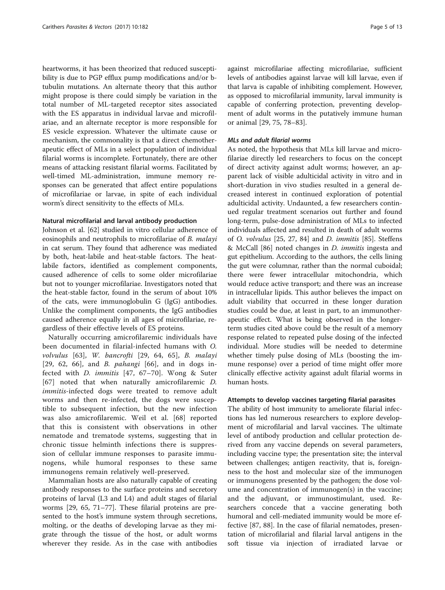heartworms, it has been theorized that reduced susceptibility is due to PGP efflux pump modifications and/or btubulin mutations. An alternate theory that this author might propose is there could simply be variation in the total number of ML-targeted receptor sites associated with the ES apparatus in individual larvae and microfilariae, and an alternate receptor is more responsible for ES vesicle expression. Whatever the ultimate cause or mechanism, the commonality is that a direct chemotherapeutic effect of MLs in a select population of individual filarial worms is incomplete. Fortunately, there are other means of attacking resistant filarial worms. Facilitated by well-timed ML-administration, immune memory responses can be generated that affect entire populations of microfilariae or larvae, in spite of each individual worm's direct sensitivity to the effects of MLs.

# Natural microfilarial and larval antibody production

Johnson et al. [\[62](#page-11-0)] studied in vitro cellular adherence of eosinophils and neutrophils to microfilariae of B. malayi in cat serum. They found that adherence was mediated by both, heat-labile and heat-stable factors. The heatlabile factors, identified as complement components, caused adherence of cells to some older microfilariae but not to younger microfilariae. Investigators noted that the heat-stable factor, found in the serum of about 10% of the cats, were immunoglobulin G (IgG) antibodies. Unlike the compliment components, the IgG antibodies caused adherence equally in all ages of microfilariae, regardless of their effective levels of ES proteins.

Naturally occurring amicrofilaremic individuals have been documented in filarial-infected humans with O. volvulus [[63\]](#page-11-0), W. bancrofti [[29,](#page-10-0) [64](#page-11-0), [65](#page-11-0)], B. malayi [[29](#page-10-0), [62](#page-11-0), [66\]](#page-11-0), and B. pahangi [[66\]](#page-11-0), and in dogs infected with D. immitis [\[47](#page-10-0), [67](#page-11-0)–[70\]](#page-11-0). Wong & Suter [[67](#page-11-0)] noted that when naturally amicrofilaremic D. immitis-infected dogs were treated to remove adult worms and then re-infected, the dogs were susceptible to subsequent infection, but the new infection was also amicrofilaremic. Weil et al. [\[68](#page-11-0)] reported that this is consistent with observations in other nematode and trematode systems, suggesting that in chronic tissue helminth infections there is suppression of cellular immune responses to parasite immunogens, while humoral responses to these same immunogens remain relatively well-preserved.

Mammalian hosts are also naturally capable of creating antibody responses to the surface proteins and secretory proteins of larval (L3 and L4) and adult stages of filarial worms [[29,](#page-10-0) [65](#page-11-0), [71](#page-11-0)–[77](#page-11-0)]. These filarial proteins are presented to the host's immune system through secretions, molting, or the deaths of developing larvae as they migrate through the tissue of the host, or adult worms wherever they reside. As in the case with antibodies

against microfilariae affecting microfilariae, sufficient levels of antibodies against larvae will kill larvae, even if that larva is capable of inhibiting complement. However, as opposed to microfilarial immunity, larval immunity is capable of conferring protection, preventing development of adult worms in the putatively immune human or animal [\[29,](#page-10-0) [75, 78](#page-11-0)–[83](#page-11-0)].

#### MLs and adult filarial worms

As noted, the hypothesis that MLs kill larvae and microfilariae directly led researchers to focus on the concept of direct activity against adult worms; however, an apparent lack of visible adulticidal activity in vitro and in short-duration in vivo studies resulted in a general decreased interest in continued exploration of potential adulticidal activity. Undaunted, a few researchers continued regular treatment scenarios out further and found long-term, pulse-dose administration of MLs to infected individuals affected and resulted in death of adult worms of O. volvulus [[25, 27](#page-10-0), [84](#page-11-0)] and D. immitis [[85\]](#page-11-0). Steffens & McCall [\[86\]](#page-11-0) noted changes in D. immitis ingesta and gut epithelium. According to the authors, the cells lining the gut were columnar, rather than the normal cuboidal; there were fewer intracellular mitochondria, which would reduce active transport; and there was an increase in intracellular lipids. This author believes the impact on adult viability that occurred in these longer duration studies could be due, at least in part, to an immunotherapeutic effect. What is being observed in the longerterm studies cited above could be the result of a memory response related to repeated pulse dosing of the infected individual. More studies will be needed to determine whether timely pulse dosing of MLs (boosting the immune response) over a period of time might offer more clinically effective activity against adult filarial worms in human hosts.

## Attempts to develop vaccines targeting filarial parasites

The ability of host immunity to ameliorate filarial infections has led numerous researchers to explore development of microfilarial and larval vaccines. The ultimate level of antibody production and cellular protection derived from any vaccine depends on several parameters, including vaccine type; the presentation site; the interval between challenges; antigen reactivity, that is, foreignness to the host and molecular size of the immunogen or immunogens presented by the pathogen; the dose volume and concentration of immunogen(s) in the vaccine; and the adjuvant, or immunostimulant, used. Researchers concede that a vaccine generating both humoral and cell-mediated immunity would be more effective [\[87](#page-11-0), [88](#page-11-0)]. In the case of filarial nematodes, presentation of microfilarial and filarial larval antigens in the soft tissue via injection of irradiated larvae or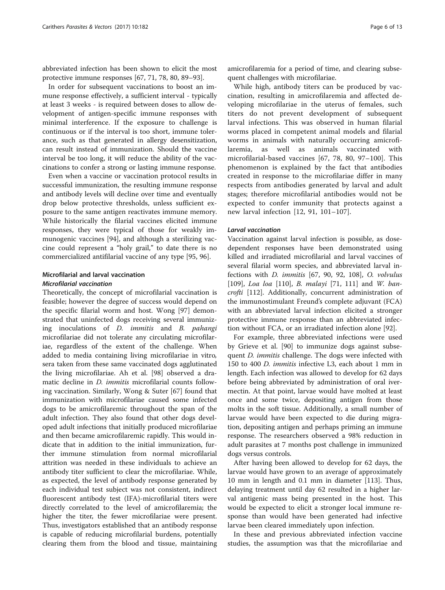abbreviated infection has been shown to elicit the most protective immune responses [\[67, 71, 78, 80, 89](#page-11-0)–[93](#page-11-0)].

In order for subsequent vaccinations to boost an immune response effectively, a sufficient interval - typically at least 3 weeks - is required between doses to allow development of antigen-specific immune responses with minimal interference. If the exposure to challenge is continuous or if the interval is too short, immune tolerance, such as that generated in allergy desensitization, can result instead of immunization. Should the vaccine interval be too long, it will reduce the ability of the vaccinations to confer a strong or lasting immune response.

Even when a vaccine or vaccination protocol results in successful immunization, the resulting immune response and antibody levels will decline over time and eventually drop below protective thresholds, unless sufficient exposure to the same antigen reactivates immune memory. While historically the filarial vaccines elicited immune responses, they were typical of those for weakly immunogenic vaccines [\[94](#page-11-0)], and although a sterilizing vaccine could represent a "holy grail," to date there is no commercialized antifilarial vaccine of any type [\[95](#page-11-0), [96](#page-11-0)].

# Microfilarial and larval vaccination Microfilarial vaccination

Theoretically, the concept of microfilarial vaccination is feasible; however the degree of success would depend on the specific filarial worm and host. Wong [\[97](#page-12-0)] demonstrated that uninfected dogs receiving several immunizing inoculations of D. immitis and B. pahangi microfilariae did not tolerate any circulating microfilariae, regardless of the extent of the challenge. When added to media containing living microfilariae in vitro, sera taken from these same vaccinated dogs agglutinated the living microfilariae. Ah et al. [[98](#page-12-0)] observed a dramatic decline in D. immitis microfilarial counts following vaccination. Similarly, Wong & Suter [\[67](#page-11-0)] found that immunization with microfilariae caused some infected dogs to be amicrofilaremic throughout the span of the adult infection. They also found that other dogs developed adult infections that initially produced microfilariae and then became amicrofilaremic rapidly. This would indicate that in addition to the initial immunization, further immune stimulation from normal microfilarial attrition was needed in these individuals to achieve an antibody titer sufficient to clear the microfilariae. While, as expected, the level of antibody response generated by each individual test subject was not consistent, indirect fluorescent antibody test (IFA)-microfilarial titers were directly correlated to the level of amicrofilaremia; the higher the titer, the fewer microfilariae were present. Thus, investigators established that an antibody response is capable of reducing microfilarial burdens, potentially clearing them from the blood and tissue, maintaining

amicrofilaremia for a period of time, and clearing subsequent challenges with microfilariae.

While high, antibody titers can be produced by vaccination, resulting in amicrofilaremia and affected developing microfilariae in the uterus of females, such titers do not prevent development of subsequent larval infections. This was observed in human filarial worms placed in competent animal models and filarial worms in animals with naturally occurring amicrofilaremia, as well as animals vaccinated with microfilarial-based vaccines [\[67](#page-11-0), [78, 80,](#page-11-0) [97](#page-12-0)–[100](#page-12-0)]. This phenomenon is explained by the fact that antibodies created in response to the microfilariae differ in many respects from antibodies generated by larval and adult stages; therefore microfilarial antibodies would not be expected to confer immunity that protects against a new larval infection [\[12](#page-10-0), [91,](#page-11-0) [101](#page-12-0)–[107\]](#page-12-0).

#### Larval vaccination

Vaccination against larval infection is possible, as dosedependent responses have been demonstrated using killed and irradiated microfilarial and larval vaccines of several filarial worm species, and abbreviated larval infections with D. immitis [[67](#page-11-0), [90](#page-11-0), [92,](#page-11-0) [108](#page-12-0)], O. volvulus [[109\]](#page-12-0), Loa loa [\[110\]](#page-12-0), B. malayi [\[71](#page-11-0), [111\]](#page-12-0) and W. bancrofti [[112](#page-12-0)]. Additionally, concurrent administration of the immunostimulant Freund's complete adjuvant (FCA) with an abbreviated larval infection elicited a stronger protective immune response than an abbreviated infection without FCA, or an irradiated infection alone [\[92](#page-11-0)].

For example, three abbreviated infections were used by Grieve et al. [[90](#page-11-0)] to immunize dogs against subsequent *D. immitis* challenge. The dogs were infected with 150 to 400 D. immitis infective L3, each about 1 mm in length. Each infection was allowed to develop for 62 days before being abbreviated by administration of oral ivermectin. At that point, larvae would have molted at least once and some twice, depositing antigen from those molts in the soft tissue. Additionally, a small number of larvae would have been expected to die during migration, depositing antigen and perhaps priming an immune response. The researchers observed a 98% reduction in adult parasites at 7 months post challenge in immunized dogs versus controls.

After having been allowed to develop for 62 days, the larvae would have grown to an average of approximately 10 mm in length and 0.1 mm in diameter [\[113](#page-12-0)]. Thus, delaying treatment until day 62 resulted in a higher larval antigenic mass being presented in the host. This would be expected to elicit a stronger local immune response than would have been generated had infective larvae been cleared immediately upon infection.

In these and previous abbreviated infection vaccine studies, the assumption was that the microfilariae and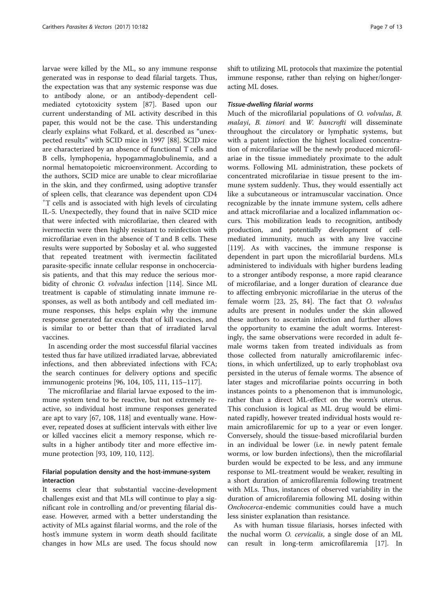larvae were killed by the ML, so any immune response generated was in response to dead filarial targets. Thus, the expectation was that any systemic response was due to antibody alone, or an antibody-dependent cellmediated cytotoxicity system [\[87](#page-11-0)]. Based upon our current understanding of ML activity described in this paper, this would not be the case. This understanding clearly explains what Folkard, et al. described as "unexpected results" with SCID mice in 1997 [\[88](#page-11-0)]. SCID mice are characterized by an absence of functional T cells and B cells, lymphopenia, hypogammaglobulinemia, and a normal hematopoietic microenvironment. According to the authors, SCID mice are unable to clear microfilariae in the skin, and they confirmed, using adoptive transfer of spleen cells, that clearance was dependent upon CD4 + T cells and is associated with high levels of circulating IL-5. Unexpectedly, they found that in naïve SCID mice that were infected with microfilariae, then cleared with ivermectin were then highly resistant to reinfection with microfilariae even in the absence of T and B cells. These results were supported by Soboslay et al. who suggested that repeated treatment with ivermectin facilitated parasite-specific innate cellular response in onchocerciasis patients, and that this may reduce the serious morbidity of chronic O. volvulus infection [[114](#page-12-0)]. Since ML treatment is capable of stimulating innate immune responses, as well as both antibody and cell mediated immune responses, this helps explain why the immune response generated far exceeds that of kill vaccines, and is similar to or better than that of irradiated larval vaccines.

In ascending order the most successful filarial vaccines tested thus far have utilized irradiated larvae, abbreviated infections, and then abbreviated infections with FCA; the search continues for delivery options and specific immunogenic proteins [\[96](#page-11-0), [104, 105, 111, 115](#page-12-0)–[117](#page-12-0)].

The microfilariae and filarial larvae exposed to the immune system tend to be reactive, but not extremely reactive, so individual host immune responses generated are apt to vary [[67,](#page-11-0) [108, 118](#page-12-0)] and eventually wane. However, repeated doses at sufficient intervals with either live or killed vaccines elicit a memory response, which results in a higher antibody titer and more effective immune protection [\[93](#page-11-0), [109](#page-12-0), [110, 112\]](#page-12-0).

# Filarial population density and the host-immune-system interaction

It seems clear that substantial vaccine-development challenges exist and that MLs will continue to play a significant role in controlling and/or preventing filarial disease. However, armed with a better understanding the activity of MLs against filarial worms, and the role of the host's immune system in worm death should facilitate changes in how MLs are used. The focus should now

shift to utilizing ML protocols that maximize the potential immune response, rather than relying on higher/longeracting ML doses.

# Tissue-dwelling filarial worms

Much of the microfilarial populations of O. volvulus, B. malayi, B. timori and W. bancrofti will disseminate throughout the circulatory or lymphatic systems, but with a patent infection the highest localized concentration of microfilariae will be the newly produced microfilariae in the tissue immediately proximate to the adult worms. Following ML administration, these pockets of concentrated microfilariae in tissue present to the immune system suddenly. Thus, they would essentially act like a subcutaneous or intramuscular vaccination. Once recognizable by the innate immune system, cells adhere and attack microfilariae and a localized inflammation occurs. This mobilization leads to recognition, antibody production, and potentially development of cellmediated immunity, much as with any live vaccine [[119\]](#page-12-0). As with vaccines, the immune response is dependent in part upon the microfilarial burdens. MLs administered to individuals with higher burdens leading to a stronger antibody response, a more rapid clearance of microfilariae, and a longer duration of clearance due to affecting embryonic microfilariae in the uterus of the female worm [[23, 25](#page-10-0), [84](#page-11-0)]. The fact that O. volvulus adults are present in nodules under the skin allowed these authors to ascertain infection and further allows the opportunity to examine the adult worms. Interestingly, the same observations were recorded in adult female worms taken from treated individuals as from those collected from naturally amicrofilaremic infections, in which unfertilized, up to early trophoblast ova persisted in the uterus of female worms. The absence of later stages and microfilariae points occurring in both instances points to a phenomenon that is immunologic, rather than a direct ML-effect on the worm's uterus. This conclusion is logical as ML drug would be eliminated rapidly, however treated individual hosts would remain amicrofilaremic for up to a year or even longer. Conversely, should the tissue-based microfilarial burden in an individual be lower (i.e. in newly patent female worms, or low burden infections), then the microfilarial burden would be expected to be less, and any immune response to ML-treatment would be weaker, resulting in a short duration of amicrofilaremia following treatment with MLs. Thus, instances of observed variability in the duration of amicrofilaremia following ML dosing within Onchocerca-endemic communities could have a much less sinister explanation than resistance.

As with human tissue filariasis, horses infected with the nuchal worm O. cervicalis, a single dose of an ML can result in long-term amicrofilaremia [\[17](#page-10-0)]. In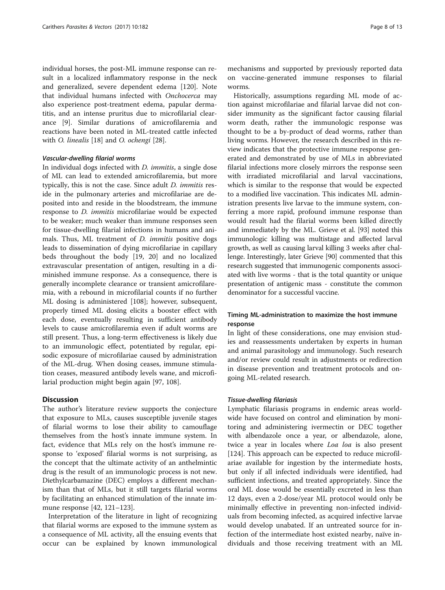individual horses, the post-ML immune response can result in a localized inflammatory response in the neck and generalized, severe dependent edema [[120\]](#page-12-0). Note that individual humans infected with Onchocerca may also experience post-treatment edema, papular dermatitis, and an intense pruritus due to microfilarial clearance [\[9](#page-10-0)]. Similar durations of amicrofilaremia and reactions have been noted in ML-treated cattle infected with O. linealis [\[18\]](#page-10-0) and O. ochengi [[28](#page-10-0)].

#### Vascular-dwelling filarial worms

In individual dogs infected with *D. immitis*, a single dose of ML can lead to extended amicrofilaremia, but more typically, this is not the case. Since adult D. immitis reside in the pulmonary arteries and microfilariae are deposited into and reside in the bloodstream, the immune response to D. immitis microfilariae would be expected to be weaker; much weaker than immune responses seen for tissue-dwelling filarial infections in humans and animals. Thus, ML treatment of D. immitis positive dogs leads to dissemination of dying microfilariae in capillary beds throughout the body [[19, 20\]](#page-10-0) and no localized extravascular presentation of antigen, resulting in a diminished immune response. As a consequence, there is generally incomplete clearance or transient amicrofilaremia, with a rebound in microfilarial counts if no further ML dosing is administered [[108\]](#page-12-0); however, subsequent, properly timed ML dosing elicits a booster effect with each dose, eventually resulting in sufficient antibody levels to cause amicrofilaremia even if adult worms are still present. Thus, a long-term effectiveness is likely due to an immunologic effect, potentiated by regular, episodic exposure of microfilariae caused by administration of the ML-drug. When dosing ceases, immune stimulation ceases, measured antibody levels wane, and microfilarial production might begin again [\[97](#page-12-0), [108](#page-12-0)].

# **Discussion**

The author's literature review supports the conjecture that exposure to MLs, causes susceptible juvenile stages of filarial worms to lose their ability to camouflage themselves from the host's innate immune system. In fact, evidence that MLs rely on the host's immune response to 'exposed' filarial worms is not surprising, as the concept that the ultimate activity of an anthelmintic drug is the result of an immunologic process is not new. Diethylcarbamazine (DEC) employs a different mechanism than that of MLs, but it still targets filarial worms by facilitating an enhanced stimulation of the innate immune response [[42,](#page-10-0) [121](#page-12-0)–[123](#page-12-0)].

Interpretation of the literature in light of recognizing that filarial worms are exposed to the immune system as a consequence of ML activity, all the ensuing events that occur can be explained by known immunological

mechanisms and supported by previously reported data on vaccine-generated immune responses to filarial worms.

Historically, assumptions regarding ML mode of action against microfilariae and filarial larvae did not consider immunity as the significant factor causing filarial worm death, rather the immunologic response was thought to be a by-product of dead worms, rather than living worms. However, the research described in this review indicates that the protective immune response generated and demonstrated by use of MLs in abbreviated filarial infections more closely mirrors the response seen with irradiated microfilarial and larval vaccinations, which is similar to the response that would be expected to a modified live vaccination. This indicates ML administration presents live larvae to the immune system, conferring a more rapid, profound immune response than would result had the filarial worms been killed directly and immediately by the ML. Grieve et al. [\[93\]](#page-11-0) noted this immunologic killing was multistage and affected larval growth, as well as causing larval killing 3 weeks after challenge. Interestingly, later Grieve [[90](#page-11-0)] commented that this research suggested that immunogenic components associated with live worms - that is the total quantity or unique presentation of antigenic mass - constitute the common denominator for a successful vaccine.

# Timing ML-administration to maximize the host immune response

In light of these considerations, one may envision studies and reassessments undertaken by experts in human and animal parasitology and immunology. Such research and/or review could result in adjustments or redirection in disease prevention and treatment protocols and ongoing ML-related research.

# Tissue-dwelling filariasis

Lymphatic filariasis programs in endemic areas worldwide have focused on control and elimination by monitoring and administering ivermectin or DEC together with albendazole once a year, or albendazole, alone, twice a year in locales where *Loa loa* is also present [[124\]](#page-12-0). This approach can be expected to reduce microfilariae available for ingestion by the intermediate hosts, but only if all infected individuals were identified, had sufficient infections, and treated appropriately. Since the oral ML dose would be essentially excreted in less than 12 days, even a 2-dose/year ML protocol would only be minimally effective in preventing non-infected individuals from becoming infected, as acquired infective larvae would develop unabated. If an untreated source for infection of the intermediate host existed nearby, naïve individuals and those receiving treatment with an ML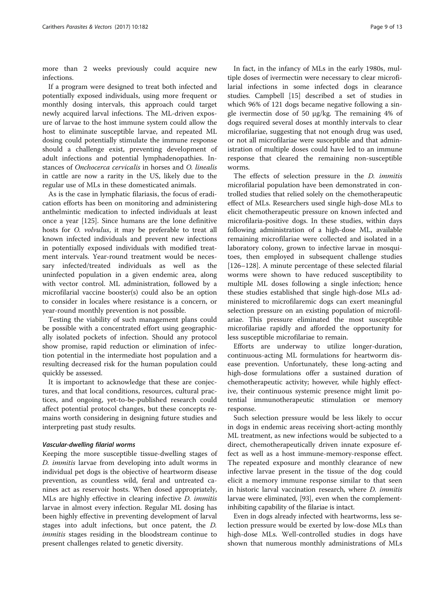more than 2 weeks previously could acquire new infections.

If a program were designed to treat both infected and potentially exposed individuals, using more frequent or monthly dosing intervals, this approach could target newly acquired larval infections. The ML-driven exposure of larvae to the host immune system could allow the host to eliminate susceptible larvae, and repeated ML dosing could potentially stimulate the immune response should a challenge exist, preventing development of adult infections and potential lymphadenopathies. Instances of Onchocerca cervicalis in horses and O. linealis in cattle are now a rarity in the US, likely due to the regular use of MLs in these domesticated animals.

As is the case in lymphatic filariasis, the focus of eradication efforts has been on monitoring and administering anthelmintic medication to infected individuals at least once a year [\[125\]](#page-12-0). Since humans are the lone definitive hosts for O. volvulus, it may be preferable to treat all known infected individuals and prevent new infections in potentially exposed individuals with modified treatment intervals. Year-round treatment would be necessary infected/treated individuals as well as the uninfected population in a given endemic area, along with vector control. ML administration, followed by a microfilarial vaccine booster(s) could also be an option to consider in locales where resistance is a concern, or year-round monthly prevention is not possible.

Testing the viability of such management plans could be possible with a concentrated effort using geographically isolated pockets of infection. Should any protocol show promise, rapid reduction or elimination of infection potential in the intermediate host population and a resulting decreased risk for the human population could quickly be assessed.

It is important to acknowledge that these are conjectures, and that local conditions, resources, cultural practices, and ongoing, yet-to-be-published research could affect potential protocol changes, but these concepts remains worth considering in designing future studies and interpreting past study results.

# Vascular-dwelling filarial worms

Keeping the more susceptible tissue-dwelling stages of D. immitis larvae from developing into adult worms in individual pet dogs is the objective of heartworm disease prevention, as countless wild, feral and untreated canines act as reservoir hosts. When dosed appropriately, MLs are highly effective in clearing infective D. immitis larvae in almost every infection. Regular ML dosing has been highly effective in preventing development of larval stages into adult infections, but once patent, the D. *immitis* stages residing in the bloodstream continue to present challenges related to genetic diversity.

In fact, in the infancy of MLs in the early 1980s, multiple doses of ivermectin were necessary to clear microfilarial infections in some infected dogs in clearance studies. Campbell [[15\]](#page-10-0) described a set of studies in which 96% of 121 dogs became negative following a single ivermectin dose of 50 μg/kg. The remaining 4% of dogs required several doses at monthly intervals to clear microfilariae, suggesting that not enough drug was used, or not all microfilariae were susceptible and that administration of multiple doses could have led to an immune response that cleared the remaining non-susceptible worms.

The effects of selection pressure in the *D. immitis* microfilarial population have been demonstrated in controlled studies that relied solely on the chemotherapeutic effect of MLs. Researchers used single high-dose MLs to elicit chemotherapeutic pressure on known infected and microfilaria-positive dogs. In these studies, within days following administration of a high-dose ML, available remaining microfilariae were collected and isolated in a laboratory colony, grown to infective larvae in mosquitoes, then employed in subsequent challenge studies [[126](#page-12-0)–[128](#page-12-0)]. A minute percentage of these selected filarial worms were shown to have reduced susceptibility to multiple ML doses following a single infection; hence these studies established that single high-dose MLs administered to microfilaremic dogs can exert meaningful selection pressure on an existing population of microfilariae. This pressure eliminated the most susceptible microfilariae rapidly and afforded the opportunity for less susceptible microfilariae to remain.

Efforts are underway to utilize longer-duration, continuous-acting ML formulations for heartworm disease prevention. Unfortunately, these long-acting and high-dose formulations offer a sustained duration of chemotherapeutic activity; however, while highly effective, their continuous systemic presence might limit potential immunotherapeutic stimulation or memory response.

Such selection pressure would be less likely to occur in dogs in endemic areas receiving short-acting monthly ML treatment, as new infections would be subjected to a direct, chemotherapeutically driven innate exposure effect as well as a host immune-memory-response effect. The repeated exposure and monthly clearance of new infective larvae present in the tissue of the dog could elicit a memory immune response similar to that seen in historic larval vaccination research, where D. immitis larvae were eliminated, [\[93\]](#page-11-0), even when the complementinhibiting capability of the filariae is intact.

Even in dogs already infected with heartworms, less selection pressure would be exerted by low-dose MLs than high-dose MLs. Well-controlled studies in dogs have shown that numerous monthly administrations of MLs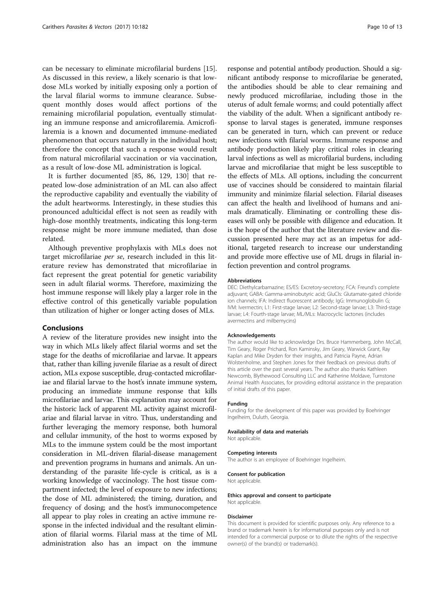can be necessary to eliminate microfilarial burdens [\[15](#page-10-0)]. As discussed in this review, a likely scenario is that lowdose MLs worked by initially exposing only a portion of the larval filarial worms to immune clearance. Subsequent monthly doses would affect portions of the remaining microfilarial population, eventually stimulating an immune response and amicrofilaremia. Amicrofilaremia is a known and documented immune-mediated phenomenon that occurs naturally in the individual host; therefore the concept that such a response would result from natural microfilarial vaccination or via vaccination, as a result of low-dose ML administration is logical.

It is further documented [[85](#page-11-0), [86](#page-11-0), [129](#page-12-0), [130\]](#page-12-0) that repeated low-dose administration of an ML can also affect the reproductive capability and eventually the viability of the adult heartworms. Interestingly, in these studies this pronounced adulticidal effect is not seen as readily with high-dose monthly treatments, indicating this long-term response might be more immune mediated, than dose related.

Although preventive prophylaxis with MLs does not target microfilariae per se, research included in this literature review has demonstrated that microfilariae in fact represent the great potential for genetic variability seen in adult filarial worms. Therefore, maximizing the host immune response will likely play a larger role in the effective control of this genetically variable population than utilization of higher or longer acting doses of MLs.

#### Conclusions

A review of the literature provides new insight into the way in which MLs likely affect filarial worms and set the stage for the deaths of microfilariae and larvae. It appears that, rather than killing juvenile filariae as a result of direct action, MLs expose susceptible, drug-contacted microfilariae and filarial larvae to the host's innate immune system, producing an immediate immune response that kills microfilariae and larvae. This explanation may account for the historic lack of apparent ML activity against microfilariae and filarial larvae in vitro. Thus, understanding and further leveraging the memory response, both humoral and cellular immunity, of the host to worms exposed by MLs to the immune system could be the most important consideration in ML-driven filarial-disease management and prevention programs in humans and animals. An understanding of the parasite life-cycle is critical, as is a working knowledge of vaccinology. The host tissue compartment infected; the level of exposure to new infections; the dose of ML administered; the timing, duration, and frequency of dosing; and the host's immunocompetence all appear to play roles in creating an active immune response in the infected individual and the resultant elimination of filarial worms. Filarial mass at the time of ML administration also has an impact on the immune

response and potential antibody production. Should a significant antibody response to microfilariae be generated, the antibodies should be able to clear remaining and newly produced microfilariae, including those in the uterus of adult female worms; and could potentially affect the viability of the adult. When a significant antibody response to larval stages is generated, immune responses can be generated in turn, which can prevent or reduce new infections with filarial worms. Immune response and antibody production likely play critical roles in clearing larval infections as well as microfilarial burdens, including larvae and microfilariae that might be less susceptible to the effects of MLs. All options, including the concurrent use of vaccines should be considered to maintain filarial immunity and minimize filarial selection. Filarial diseases can affect the health and livelihood of humans and animals dramatically. Eliminating or controlling these diseases will only be possible with diligence and education. It is the hope of the author that the literature review and discussion presented here may act as an impetus for additional, targeted research to increase our understanding and provide more effective use of ML drugs in filarial infection prevention and control programs.

#### Abbreviations

DEC: Diethylcarbamazine; ES/ES: Excretory-secretory; FCA: Freund's complete adjuvant; GABA: Gamma-aminobutyric acid; GluCls: Glutamate-gated chloride ion channels; IFA: Indirect fluorescent antibody; IgG: Immunoglobulin G; IVM: Ivermectin; L1: First-stage larvae; L2: Second-stage larvae; L3: Third-stage larvae; L4: Fourth-stage larvae; ML/MLs: Macrocyclic lactones (includes avermectins and milbemycins)

#### Acknowledgements

The author would like to acknowledge Drs. Bruce Hammerberg, John McCall, Tim Geary, Roger Prichard, Ron Kaminsky, Jim Geary, Warwick Grant, Ray Kaplan and Mike Dryden for their insights, and Patricia Payne, Adrian Wolstenholme, and Stephen Jones for their feedback on previous drafts of this article over the past several years. The author also thanks Kathleen Newcomb, Blythewood Consulting LLC and Katherine Moldave, Turnstone Animal Health Associates, for providing editorial assistance in the preparation of initial drafts of this paper.

#### Funding

Funding for the development of this paper was provided by Boehringer Ingelheim, Duluth, Georgia.

#### Availability of data and materials

Not applicable.

#### Competing interests

The author is an employee of Boehringer Ingelheim.

#### Consent for publication

Not applicable.

#### Ethics approval and consent to participate Not applicable.

#### Disclaimer

This document is provided for scientific purposes only. Any reference to a brand or trademark herein is for informational purposes only and is not intended for a commercial purpose or to dilute the rights of the respective owner(s) of the brand(s) or trademark(s).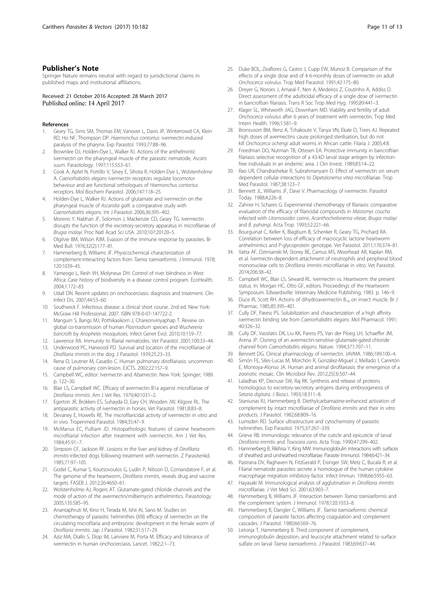# <span id="page-10-0"></span>Publisher's Note

Springer Nature remains neutral with regard to jurisdictional claims in published maps and institutional affiliations.

Received: 21 October 2016 Accepted: 28 March 2017 Published online: 14 April 2017

#### References

- Geary TG, Sims SM, Thomas EM, Vanover L, Davis JP, Winterrowd CA, Klein RD, Ho NF, Thompson DP. Haemonchus contortus: ivermectin-induced paralysis of the pharynx. Exp Parasitol. 1993;77:88–96.
- Brownlee DJ, Holden-Dye L, Walker RJ. Actions of the anthelmintic ivermectin on the pharyngeal muscle of the parasitic nematode, Ascaris suum. Parasitology. 1997;115:553–61.
- 3. Cook A, Aptel N, Portillo V, Siney E, Sihota R, Holden-Dye L, Wolstenholme A. Caenorhabditis elegans ivermectin receptors regulate locomotor behaviour and are functional orthologues of Haemonchus contortus receptors. Mol Biochem Parasitol. 2006;147:118–25.
- 4. Holden-Dye L, Walker RJ. Actions of glutamate and ivermectin on the pharyngeal muscle of Ascaridia galli: a comparative study with Caenorhabditis elegans. Int J Parasitol. 2006;36:395–402.
- 5. Moreno Y, Nabhan JF, Solomon J, Mackenzie CD, Geary TG. Ivermectin disrupts the function of the excretory-secretory apparatus in microfilariae of Brugia malayi. Proc Natl Acad Sci USA. 2010;107:20120–5.
- 6. Olgilvie BM, Wilson RJM. Evasion of the immune response by parasites. Br Med Bull. 1976;32(2):177–81.
- 7. Hammerberg B, Williams JF. Physicochemical characterization of complement-interacting factors from Taenia taeniaeformis. J Immunol. 1978; 120:1039–45.
- Yameogo L, Resh VH, Molyneux DH. Control of river blindness in West Africa: Case history of biodiversity in a disease control program. EcoHealth. 2004;1:172–83.
- 9. Udall DN. Recent updates on onchocerciasis: diagnosis and treatment. Clin Infect Dis. 2007;44:53–60.
- 10. Southwick F. Infectious disease: a clinical short course. 2nd ed. New York: McGraw Hill Professional; 2007. ISBN 978-0-07-147722-2.
- 11. Manguin S, Bangs MJ, Pothikasikorn J, Chareonviriyaphap T. Review on global co-transmission of human Plasmodium species and Wuchereria bancrofti by Anopheles mosquitoes. Infect Genet Evol. 2010;10:159–77.
- 12. Lawrence RA. Immunity to filarial nematodes. Vet Parasitol. 2001;100:33–44.
- 13. Underwood PC, Harwood PD. Survival and location of the microfilariae of Dirofilaria immitis in the dog. J Parasitol. 1939;25:23–33.
- 14. Rena O, Leutner M, Casadio C. Human pulmonary dirofilariasis: uncommon cause of pulmonary coin-lesion. EJCTS. 2002;22:157–9.
- 15. Campbell WC, editor. Ivermectin and Abamectin. New York: Springer; 1989. p. 122–30.
- 16. Blair LS, Campbell WC. Efficacy of avermectin B1a against microfilariae of Dirofilaria immitis. Am J Vet Res. 1979;40:1031–2.
- 17. Egerton JR, Brokken ES, Suhayda D, Eary CH, Wooden JW, Kilgore RL. The antiparasitic activity of ivermectin in horses. Vet Parasitol. 1981;8:83–8.
- 18. Devaney E, Howells RE. The microfilaricidal activity of ivermectin in vitro and in vivo. Tropenmed Parasitol. 1984;35:47–9.
- 19. McManus EC, Pulliam JD. Histopathologic features of canine heartworm microfilarial infection after treatment with ivermectin. Am J Vet Res. 1984;45:91–7.
- 20. Simpson CF, Jackson RF. Lesions in the liver and kidney of Dirofilaria immitis-infected dogs following treatment with ivermectin. Z Parasitenkd. 1985;71:97–105.
- 21. Godel C, Kumar S, Koutsovoulos G, Ludin P, Nilsson D, Comandatore F, et al. The genome of the heartworm, Dirofilaria immitis, reveals drug and vaccine targets. FASEB J. 2012;26:4650–61.
- 22. Wolstenholme AJ, Rogers AT. Glutamate-gated chloride channels and the mode of action of the avermectin/milbemycin anthelmintics. Parasitology. 2005;135:S85–95.
- 23. Anantaphruti M, Kino H, Terada M, Ishii AI, Sano M. Studies on chemotherapy of parasitic helminthes (XIII) efficacy of ivermectin on the circulating microfilaria and embryonic development in the female worm of Dirofilaria immitis. Jap J Parasitol. 1982;31:517–29.
- 24. Aziz MA, Diallo S, Diop IM, Lariviere M, Porta M. Efficacy and tolerance of ivermectin in human onchocerciasis. Lancet. 1982;2:1–73.
- 25. Duke BOL, Zeaflores G, Castro J, Cupp EW, Munoz B. Comparison of the effects of a single dose and of 4 6-monthly doses of ivermectin on adult Onchocerca volvulus. Trop Med Parasitol. 1991;42:175–80.
- 26. Dreyer G, Noroes J, Amaral F, Nen A, Medeiros Z, Coutinho A, Addiss D. Direct assessment of the adulticidal efficacy of a single dose of ivermectin in bancroftian filariasis. Trans R Soc Trop Med Hyg. 1995;89:441–3.
- 27. Klager SL, Whitworth JAG, Downham MD. Viability and fertility of adult Onchocerca volvulus after 6 years of treatment with ivermectin. Trop Med Intern Health. 1996;1:581–9.
- 28. Bronsvoort BM, Renz A, Tchakoute V, Tanya VN, Ekale D, Trees AJ. Repeated high doses of avermectins cause prolonged sterilisation, but do not kill Onchocerca ochengi adult worms in African cattle. Filaria J. 2005;4:8.
- 29. Freedman DO, Nutman TB, Ottesen EA. Protective immunity in bancroftian filariasis selective recognition of a 43-kD larval stage antigen by infectionfree individuals in an endemic area. J Clin Invest. 1989;83:14–22.
- 30. Rao UR, Chandrashekar R, Subrahmanyam D. Effect of ivermectin on serum dependent cellular interactions to Dipetalonema vitea microfilariae. Trop Med Parasitol. 1987;38:123–7.
- 31. Bennett JL, Williams JF, Dave V. Pharmacology of ivermectin. Parasitol Today. 1988;4:226–8.
- 32. Zahner H, Schares G. Experimental chemotherapy of filariasis: comparative evaluation of the efficacy of filaricidal compounds in Mastomys coucha infected with Litomosoides carinii, Acanthocheilonema viteae, Brugia malayi and B. pahangi. Acta Trop. 1993;52:221–66.
- 33. Bourguinat C, Keller K, Blagburn B, Schenker R, Geary TG, Prichard RA. Correlation between loss of efficacy of macrocyclic lactone heartworm anthelmintics and P-glycoprotein genotype. Vet Parasitol. 2011;176:374–81.
- 34. Vatta AF, Dzimianski M, Storey BE, Camus MS, Moorhead AR, Kaplan RM, et al. Ivermectin-dependent attachment of neutrophils and peripheral blood mononuclear cells to Dirofilaria immitis microfilariae in vitro. Vet Parasitol. 2014;206:38–42.
- 35. Campbell WC, Blair LS, Seward RL. Ivermectin vs. Heartworm: the present status. In: Morgan HC, Otto GF, editors. Proceedings of the Heartworm Symposium. Edwardsville: Veterinary Medicine Publishing; 1983. p. 146–9.
- 36. Duce IR, Scott RH. Actions of dihydroavermectin  $B_{1a}$  on insect muscle. Br J Pharmac. 1985;85:395–401.
- 37. Cully DF, Paress PS. Solubilization and characterization of a high affinity ivermectin binding site from Caenorhabditis elegans. Mol Pharmacol. 1991; 40:326–32.
- 38. Cully DF, Vassilatis DK, Liu KK, Paress PS, Van der Ploeg LH, Schaeffer JM, Arena JP. Cloning of an avermectin-sensitive glutamate-gated chloride channel from Caenorhabditis elegans. Nature. 1994;371:707–11.
- Bennett DG. Clinical pharmacology of ivermectin. JAVMA. 1986;189:100-4.
- 40. Simón FE, Siles-Lucas M, Morchón R, González-Miguel J, Mellado I, Carretón E, Montoya-Alonso JA. Human and animal dirofilariasis: the emergence of a zoonotic mosaic. Clin Microbiol Rev. 2012;25(3):507–44.
- 41. Laladhas KP, Decruse SW, Raj RK. Synthesis and release of proteins homologous to excretory-secretory antigens during embryogenesis of Setaria digitata. J Biosci. 1993;18:311–8.
- 42. Staniunas RJ, Hammerberg B. Diethylcarbamazine-enhanced activation of complement by intact microfilariae of Dirofilaria immitis and their in vitro products. J Parasitol. 1982;68:809–16.
- 43. Lumsden RD. Surface ultrastructure and cytochemistry of parasitic helminthes. Exp Parasitol. 1975;37:267–339.
- 44. Grieve RB. Immunologic relevance of the cuticle and epicuticle of larval Dirofilaria immitis and Toxocara canis. Acta Trop. 1990;47:299–402.
- 45. Hammerberg B, Rikihisa Y, King MW. Immunoglobulin interactions with surfaces of sheathed and unsheathed microfilariae. Parasite Immunol. 1984;6:421–34.
- 46. Pastrana DV, Raghaven N, FitzGerald P, Eisinger SW, Metz C, Bucala R, et al. Filarial nematode parasites secrete a homologue of the human cytokine macrophage migration inhibitory factor. Infect Immun. 1998;66:5955–63.
- 47. Hayasaki M. Immunological analysis of agglutination in Dirofilaria immitis microfilariae. J Vet Med Sci. 2001;63:903–7.
- 48. Hammerberg B, Williams JF. Interaction between Taenia taeniaeformis and the complement system. J Immunol. 1978;120:1033–8.
- 49. Hammerberg B, Dangler C, Williams JF. Taenia taeniaeformis: chemical composition of parasite factors affecting coagulation and complement cascades. J Parasitol. 1980;66:569–76.
- 50. Letonja T, Hammerberg B. Third component of complement, immunoglobulin deposition, and leucocyte attachment related to surface sulfate on larval Taenia taeniaeformis. J Parasitol. 1983;69:637–44.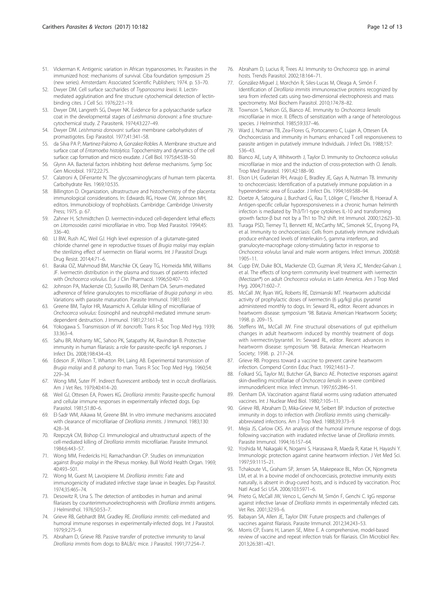- <span id="page-11-0"></span>51. Vickerman K. Antigenic variation in African trypanosomes. In: Parasites in the immunized host: mechanisms of survival. Ciba foundation symposium 25 (new series). Amsterdam: Associated Scientific Publishers; 1974. p. 53–70.
- 52. Dwyer DM. Cell surface saccharides of Trypanosoma lewisi. II. Lectinmediated agglutination and fine structure cytochemical detection of lectinbinding cites. J Cell Sci. 1976;22:1–19.
- 53. Dwyer DM, Langreth SG, Dwyer NK. Evidence for a polysaccharide surface coat in the developmental stages of Leishmania donovani: a fine structurecytochemical study. Z Parasitenk. 1974;43:227–49.
- 54. Dwyer DM. Leishmania donovani: surface membrane carbohydrates of promastigotes. Exp Parasitol. 1977;41:341–58.
- 55. da Silva PA P, Martinez-Palomo A, Gonzalez-Robles A. Membrane structure and surface coat of Entamoeba histolytica. Topochemistry and dynamics of the cell surface: cap formation and micro exudate. J Cell Biol. 1975;64:538–50.
- 56. Glynn AA. Bacterial factors inhibiting host defense mechanisms. Symp Soc Gen Microbiol. 1972;22:75.
- 57. Calatroni A, DiFerrante N. The glycosaminoglycans of human term placenta. Carbohydrate Res. 1969;10:535.
- 58. Billington D. Organization, ultrastructure and histochemistry of the placenta: immunological considerations. In: Edwards RG, Howe CW, Johnson MH, editors. Immunobiology of trophoblasts. Cambridge: Cambridge University Press; 1975. p. 67.
- 59. Zahner H, Schmidtchen D. Ivermectin-induced cell-dependent lethal effects on Litomosoides carinii microfilariae in vitro. Trop Med Parasitol. 1994;45: 336–40.
- 60. LI BW, Rush AC, Weil GJ. High level expression of a glutamate-gated chloride channel gene in reproductive tissues of Brugia malayi may explain the sterilizing effect of ivermectin on filarial worms. Int J Parasitol Drugs Drug Resist. 2014;4:71–6.
- 61. Baraka OZ, Mahmoud BM, Marschke CK, Geary TG, Homeida MM, Williams JF. Ivermectin distribution in the plasma and tissues of patients infected with Onchocerca volvulus. Eur J Clin Pharmacol. 1996;50:407–10.
- 62. Johnson PA, Mackenzie CD, Suswillo RR, Denham DA. Serum-mediated adherence of feline granulocytes to microfilariae of Brugia pahangi in vitro. Variations with parasite maturation. Parasite Immunol. 1981;3:69.
- 63. Greene BM, Taylor HR, Masamichi A. Cellular killing of microfilariae of Onchocerca volvulus: Eosinophil and neutrophil-mediated immune serumdependent destruction. J Immunol. 1981;27:1611–8.
- 64. Yokogawa S. Transmission of W. bancrofti. Trans R Soc Trop Med Hyg. 1939; 33:363–4.
- 65. Sahu BR, Mohanty MC, Sahoo PK, Satapathy AK, Ravindran B. Protective immunity in human filariasis: a role for parasite-specific IgA responses. J Infect Dis. 2008;198:434–43.
- 66. Edeson JF, Wilson T, Wharton RH, Laing AB. Experimental transmission of Brugia malayi and B. pahangi to man. Trans R Soc Trop Med Hyg. 1960;54: 229–34.
- 67. Wong MM, Suter PF. Indirect fluorescent antibody test in occult dirofilariasis. Am J Vet Res. 1979;40:414–20.
- 68. Weil GJ, Ottesen EA, Powers KG. Dirofilaria immitis: Parasite-specific humoral and cellular immune responses in experimentally infected dogs. Exp Parasitol. 1981;51:80–6.
- 69. El-Sadr WM, Aikawa M, Greene BM. In vitro immune mechanisms associated with clearance of microfilariae of Dirofilaria immitis. J Immunol. 1983;130: 428–34.
- 70. Rzepczyk CM, Bishop CJ. Immunological and ultrastructural aspects of the cell-mediated killing of Dirofilaria immitis microfilariae. Parasite Immunol. 1984;6:443–57.
- 71. Wong MM, Fredericks HJ, Ramachandran CP. Studies on immunization against Brugia malayi in the Rhesus monkey. Bull World Health Organ. 1969; 40:493–501.
- 72. Wong M, Guest M, Lavoipierre M. Dirofilaria immitis: Fate and immunogenicity of irradiated infective stage larvae in beagles. Exp Parasitol. 1974;35:465–74.
- 73. Desowitz R, Una S. The detection of antibodies in human and animal filariases by counterimmunoelectrophoresis with Dirofilaria immitis antigens. J Helminthol. 1976;50:53–7.
- 74. Grieve RB, Gebhardt BM, Gradley RE. Dirofilaria immitis: cell-mediated and humoral immune responses in experimentally-infected dogs. Int J Parasitol. 1979;9:275–9.
- 75. Abraham D, Grieve RB. Passive transfer of protective immunity to larval Dirofilaria immitis from dogs to BALB/c mice. J Parasitol. 1991;77:254–7.
- 76. Abraham D, Lucius R, Trees AJ. Immunity to Onchocerca spp. in animal hosts. Trends Parasitol. 2002;18:164–71.
- 77. González-Miguel J, Morchón R, Siles-Lucas M, Oleaga A, Simón F. Identification of Dirofilaria immitis immunoreactive proteins recognized by sera from infected cats using two-dimensional electrophoresis and mass spectrometry. Mol Biochem Parasitol. 2010;174:78–82.
- 78. Townson S, Nelson GS, Bianco AE. Immunity to Onchocerca lienalis microfilariae in mice. II. Effects of sensitization with a range of heterologous species. J Helminthol. 1985;59:337–46.
- 79. Ward J, Nutman TB, Zea-Flores G, Portocarrero C, Lujan A, Ottesen EA. Onchocerciasis and immunity in humans: enhanced T cell responsiveness to parasite antigen in putatively immune Individuals. J Infect Dis. 1988;157: 536–43.
- 80. Bianco AE, Luty A, Whitworth J, Taylor D. Immunity to Onchocerca volvulus microfilariae in mice and the induction of cross-protection with O. lienalis. Trop Med Parasitol. 1991;42:188–90.
- 81. Elson LH, Guderian RH, Araujo E, Bradley JE, Gays A, Nutman TB. Immunity to onchocerciasis: Identification of a putatively immune population in a hyperendemic area of Ecuador. J Infect Dis. 1994;169:588–94.
- 82. Doetze A, Satoguina J, Burchard G, Rau T, Löliger C, Fleischer B, Hoerauf A. Antigen-specific cellular hyporesponsiveness in a chronic human helminth infection is mediated by Th3/Tr1-type cytokines IL-10 and transforming growth factor-β but not by a Th1 to Th2 shift. Int Immunol. 2000;12:623–30.
- 83. Turaga PSD, Tierney TJ, Bennett KE, McCarthy MC, Simonek SC, Enyong PA, et al. Immunity to onchocerciasis: Cells from putatively immune individuals produce enhanced levels of interleukin-5, gamma interferon, and granulocyte-macrophage colony-stimulating factor in response to Onchocerca volvulus larval and male worm antigens. Infect Immun. 2000;68: 1905–11.
- 84. Cupp EW, Duke BOL, Mackenzie CD, Guzman JR, Vieira JC, Mendez-Galvan J, et al. The effects of long-term community level treatment with ivermectin (Mectizan®) on adult Onchocerca volvulus in Latin America. Am J Trop Med Hyg. 2004;71:602–7.
- 85. McCall JW, Ryan WG, Roberts RE, Dzimianski MT. Heartworm adulticidal activity of prophylactic doses of ivermectin (6 μg/kg) plus pyrantel administered monthly to dogs. In: Seward RL, editor. Recent advances in heartworm disease: symposium '98. Batavia: American Heartworm Society; 1998. p. 209–15.
- 86. Steffens WL, McCall JW. Fine structural observations of gut epithelium changes in adult heartworm induced by monthly treatment of dogs with ivermectin/pyrantel. In: Seward RL, editor. Recent advances in heartworm disease: symposium '98. Batavia: American Heartworm Society; 1998. p. 217–24.
- 87. Grieve RB. Progress toward a vaccine to prevent canine heartworm infection. Compend Contin Educ Pract. 1992;14:613–7.
- 88. Folkard SG, Taylor MJ, Butcher GA, Bianco AE. Protective responses against skin-dwelling microfilariae of Onchocerca lienalis in severe combined immunodeficient mice. Infect Immun. 1997;65:2846–51.
- 89. Denham DA. Vaccination against filarial worms using radiation attenuated vaccines. Int J Nuclear Med Biol. 1980;7:105–11.
- 90. Grieve RB, Abraham D, Mika-Grieve M, Seibert BP. Induction of protective immunity in dogs to infection with Dirofilaria immitis using chemicallyabbreviated infections. Am J Trop Med. 1988;39:373–9.
- 91. Mejia JS, Carlow CKS. An analysis of the humoral immune response of dogs following vaccination with irradiated infective larvae of Dirofilaria immitis. Parasite Immunol. 1994;16:157–64.
- 92. Yoshida M, Nakagaki K, Nogami S, Harasawa R, Maeda R, Katae H, Hayashi Y. Immunologic protection against canine heartworm infection. J Vet Med Sci. 1997;59:1115–21.
- 93. Tchakoute VL, Graham SP, Jensen SA, Makepeace BL, Nfon CK, Njongmeta LM, et al. In a bovine model of onchocerciasis, protective immunity exists naturally, is absent in drug-cured hosts, and is induced by vaccination. Proc Natl Acad Sci USA. 2006;103:5971–6.
- 94. Prieto G, McCall JW, Venco L, Genchi M, Simón F, Genchi C. IgG response against infective larvae of Dirofilaria immitis in experimentally infected cats. Vet Res. 2001;32:93–6.
- 95. Babayan SA, Allen JE, Taylor DW. Future prospects and challenges of vaccines against filariasis. Parasite Immunol. 2012;34:243–53.
- 96. Morris CP, Evans H, Larsen SE, Mitre E. A comprehensive, model-based review of vaccine and repeat infection trials for filariasis. Clin Microbiol Rev. 2013;26:381–421.